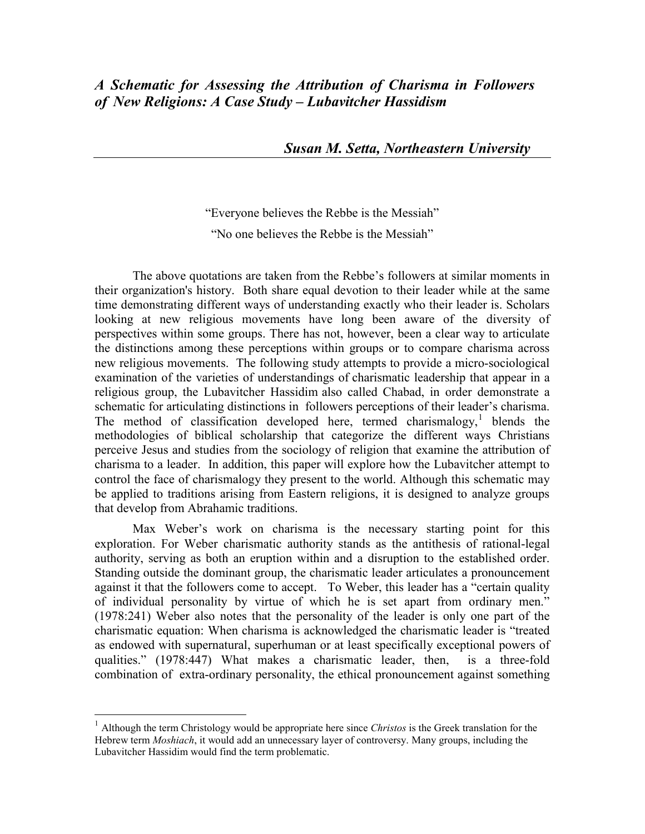*Susan M. Setta, Northeastern University*

"Everyone believes the Rebbe is the Messiah" "No one believes the Rebbe is the Messiah"

The above quotations are taken from the Rebbe's followers at similar moments in their organization's history. Both share equal devotion to their leader while at the same time demonstrating different ways of understanding exactly who their leader is. Scholars looking at new religious movements have long been aware of the diversity of perspectives within some groups. There has not, however, been a clear way to articulate the distinctions among these perceptions within groups or to compare charisma across new religious movements. The following study attempts to provide a micro-sociological examination of the varieties of understandings of charismatic leadership that appear in a religious group, the Lubavitcher Hassidim also called Chabad, in order demonstrate a schematic for articulating distinctions in followers perceptions of their leader's charisma. The method of classification developed here, termed charismalogy,<sup>[1](#page-16-0)</sup> blends the methodologies of biblical scholarship that categorize the different ways Christians perceive Jesus and studies from the sociology of religion that examine the attribution of charisma to a leader. In addition, this paper will explore how the Lubavitcher attempt to control the face of charismalogy they present to the world. Although this schematic may be applied to traditions arising from Eastern religions, it is designed to analyze groups that develop from Abrahamic traditions.

<span id="page-0-0"></span>Max Weber's work on charisma is the necessary starting point for this exploration. For Weber charismatic authority stands as the antithesis of rational-legal authority, serving as both an eruption within and a disruption to the established order. Standing outside the dominant group, the charismatic leader articulates a pronouncement against it that the followers come to accept. To Weber, this leader has a "certain quality of individual personality by virtue of which he is set apart from ordinary men." (1978:241) Weber also notes that the personality of the leader is only one part of the charismatic equation: When charisma is acknowledged the charismatic leader is "treated as endowed with supernatural, superhuman or at least specifically exceptional powers of qualities." (1978:447) What makes a charismatic leader, then, is a three-fold combination of extra-ordinary personality, the ethical pronouncement against something

<sup>1</sup> Although the term Christology would be appropriate here since *Christos* is the Greek translation for the Hebrew term *Moshiach*, it would add an unnecessary layer of controversy. Many groups, including the Lubavitcher Hassidim would find the term problematic.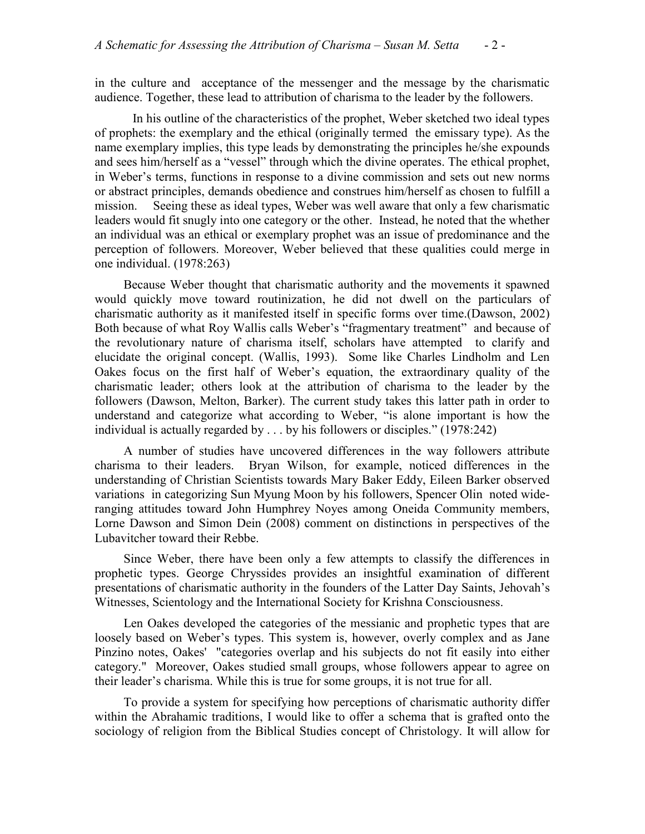in the culture and acceptance of the messenger and the message by the charismatic audience. Together, these lead to attribution of charisma to the leader by the followers.

In his outline of the characteristics of the prophet, Weber sketched two ideal types of prophets: the exemplary and the ethical (originally termed the emissary type). As the name exemplary implies, this type leads by demonstrating the principles he/she expounds and sees him/herself as a "vessel" through which the divine operates. The ethical prophet, in Weber's terms, functions in response to a divine commission and sets out new norms or abstract principles, demands obedience and construes him/herself as chosen to fulfill a mission. Seeing these as ideal types, Weber was well aware that only a few charismatic leaders would fit snugly into one category or the other. Instead, he noted that the whether an individual was an ethical or exemplary prophet was an issue of predominance and the perception of followers. Moreover, Weber believed that these qualities could merge in one individual. (1978:263)

Because Weber thought that charismatic authority and the movements it spawned would quickly move toward routinization, he did not dwell on the particulars of charismatic authority as it manifested itself in specific forms over time.(Dawson, 2002) Both because of what Roy Wallis calls Weber's "fragmentary treatment" and because of the revolutionary nature of charisma itself, scholars have attempted to clarify and elucidate the original concept. (Wallis, 1993). Some like Charles Lindholm and Len Oakes focus on the first half of Weber's equation, the extraordinary quality of the charismatic leader; others look at the attribution of charisma to the leader by the followers (Dawson, Melton, Barker). The current study takes this latter path in order to understand and categorize what according to Weber, "is alone important is how the individual is actually regarded by . . . by his followers or disciples." (1978:242)

A number of studies have uncovered differences in the way followers attribute charisma to their leaders. Bryan Wilson, for example, noticed differences in the understanding of Christian Scientists towards Mary Baker Eddy, Eileen Barker observed variations in categorizing Sun Myung Moon by his followers, Spencer Olin noted wideranging attitudes toward John Humphrey Noyes among Oneida Community members, Lorne Dawson and Simon Dein (2008) comment on distinctions in perspectives of the Lubavitcher toward their Rebbe.

Since Weber, there have been only a few attempts to classify the differences in prophetic types. George Chryssides provides an insightful examination of different presentations of charismatic authority in the founders of the Latter Day Saints, Jehovah's Witnesses, Scientology and the International Society for Krishna Consciousness.

Len Oakes developed the categories of the messianic and prophetic types that are loosely based on Weber's types. This system is, however, overly complex and as Jane Pinzino notes, Oakes' "categories overlap and his subjects do not fit easily into either category." Moreover, Oakes studied small groups, whose followers appear to agree on their leader's charisma. While this is true for some groups, it is not true for all.

To provide a system for specifying how perceptions of charismatic authority differ within the Abrahamic traditions, I would like to offer a schema that is grafted onto the sociology of religion from the Biblical Studies concept of Christology. It will allow for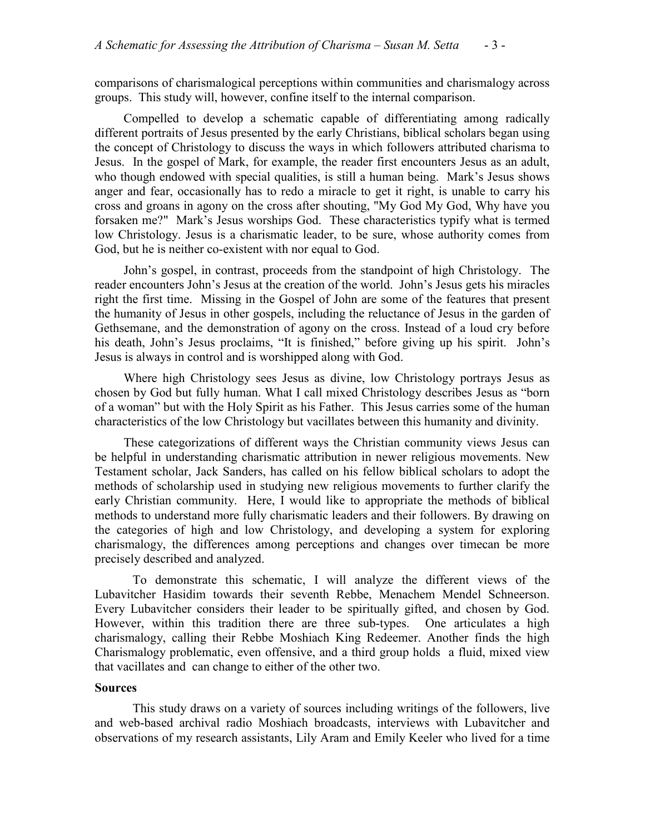comparisons of charismalogical perceptions within communities and charismalogy across groups. This study will, however, confine itself to the internal comparison.

Compelled to develop a schematic capable of differentiating among radically different portraits of Jesus presented by the early Christians, biblical scholars began using the concept of Christology to discuss the ways in which followers attributed charisma to Jesus. In the gospel of Mark, for example, the reader first encounters Jesus as an adult, who though endowed with special qualities, is still a human being. Mark's Jesus shows anger and fear, occasionally has to redo a miracle to get it right, is unable to carry his cross and groans in agony on the cross after shouting, "My God My God, Why have you forsaken me?" Mark's Jesus worships God. These characteristics typify what is termed low Christology. Jesus is a charismatic leader, to be sure, whose authority comes from God, but he is neither co-existent with nor equal to God.

John's gospel, in contrast, proceeds from the standpoint of high Christology. The reader encounters John's Jesus at the creation of the world. John's Jesus gets his miracles right the first time. Missing in the Gospel of John are some of the features that present the humanity of Jesus in other gospels, including the reluctance of Jesus in the garden of Gethsemane, and the demonstration of agony on the cross. Instead of a loud cry before his death, John's Jesus proclaims, "It is finished," before giving up his spirit. John's Jesus is always in control and is worshipped along with God.

Where high Christology sees Jesus as divine, low Christology portrays Jesus as chosen by God but fully human. What I call mixed Christology describes Jesus as "born of a woman" but with the Holy Spirit as his Father. This Jesus carries some of the human characteristics of the low Christology but vacillates between this humanity and divinity.

These categorizations of different ways the Christian community views Jesus can be helpful in understanding charismatic attribution in newer religious movements. New Testament scholar, Jack Sanders, has called on his fellow biblical scholars to adopt the methods of scholarship used in studying new religious movements to further clarify the early Christian community. Here, I would like to appropriate the methods of biblical methods to understand more fully charismatic leaders and their followers. By drawing on the categories of high and low Christology, and developing a system for exploring charismalogy, the differences among perceptions and changes over timecan be more precisely described and analyzed.

To demonstrate this schematic, I will analyze the different views of the Lubavitcher Hasidim towards their seventh Rebbe, Menachem Mendel Schneerson. Every Lubavitcher considers their leader to be spiritually gifted, and chosen by God. However, within this tradition there are three sub-types. One articulates a high charismalogy, calling their Rebbe Moshiach King Redeemer. Another finds the high Charismalogy problematic, even offensive, and a third group holds a fluid, mixed view that vacillates and can change to either of the other two.

#### **Sources**

This study draws on a variety of sources including writings of the followers, live and web-based archival radio Moshiach broadcasts, interviews with Lubavitcher and observations of my research assistants, Lily Aram and Emily Keeler who lived for a time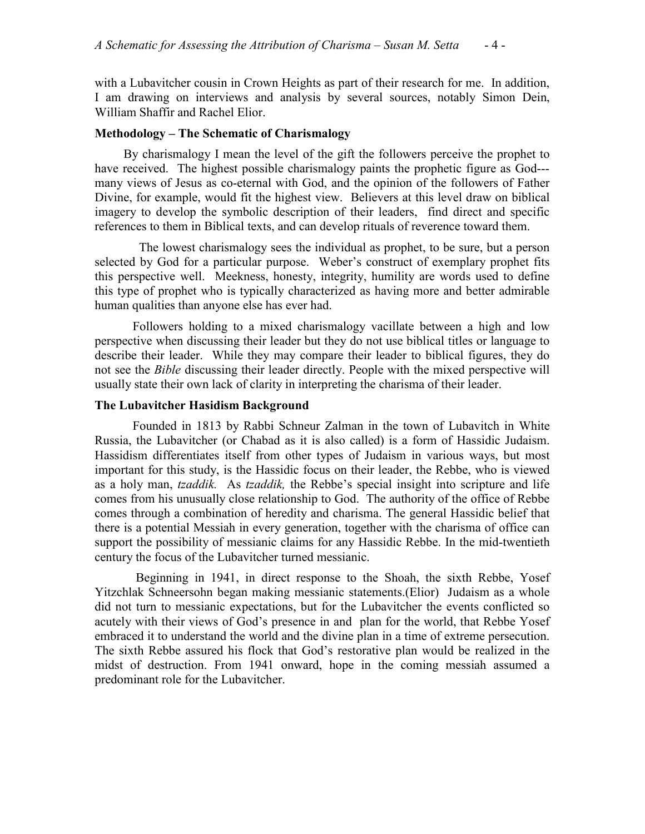with a Lubavitcher cousin in Crown Heights as part of their research for me. In addition, I am drawing on interviews and analysis by several sources, notably Simon Dein, William Shaffir and Rachel Elior.

## **Methodology – The Schematic of Charismalogy**

By charismalogy I mean the level of the gift the followers perceive the prophet to have received. The highest possible charismalogy paints the prophetic figure as God-- many views of Jesus as co-eternal with God, and the opinion of the followers of Father Divine, for example, would fit the highest view. Believers at this level draw on biblical imagery to develop the symbolic description of their leaders, find direct and specific references to them in Biblical texts, and can develop rituals of reverence toward them.

 The lowest charismalogy sees the individual as prophet, to be sure, but a person selected by God for a particular purpose. Weber's construct of exemplary prophet fits this perspective well. Meekness, honesty, integrity, humility are words used to define this type of prophet who is typically characterized as having more and better admirable human qualities than anyone else has ever had.

Followers holding to a mixed charismalogy vacillate between a high and low perspective when discussing their leader but they do not use biblical titles or language to describe their leader. While they may compare their leader to biblical figures, they do not see the *Bible* discussing their leader directly. People with the mixed perspective will usually state their own lack of clarity in interpreting the charisma of their leader.

# **The Lubavitcher Hasidism Background**

Founded in 1813 by Rabbi Schneur Zalman in the town of Lubavitch in White Russia, the Lubavitcher (or Chabad as it is also called) is a form of Hassidic Judaism. Hassidism differentiates itself from other types of Judaism in various ways, but most important for this study, is the Hassidic focus on their leader, the Rebbe, who is viewed as a holy man, *tzaddik.* As *tzaddik,* the Rebbe's special insight into scripture and life comes from his unusually close relationship to God. The authority of the office of Rebbe comes through a combination of heredity and charisma. The general Hassidic belief that there is a potential Messiah in every generation, together with the charisma of office can support the possibility of messianic claims for any Hassidic Rebbe. In the mid-twentieth century the focus of the Lubavitcher turned messianic.

Beginning in 1941, in direct response to the Shoah, the sixth Rebbe, Yosef Yitzchlak Schneersohn began making messianic statements.(Elior) Judaism as a whole did not turn to messianic expectations, but for the Lubavitcher the events conflicted so acutely with their views of God's presence in and plan for the world, that Rebbe Yosef embraced it to understand the world and the divine plan in a time of extreme persecution. The sixth Rebbe assured his flock that God's restorative plan would be realized in the midst of destruction. From 1941 onward, hope in the coming messiah assumed a predominant role for the Lubavitcher.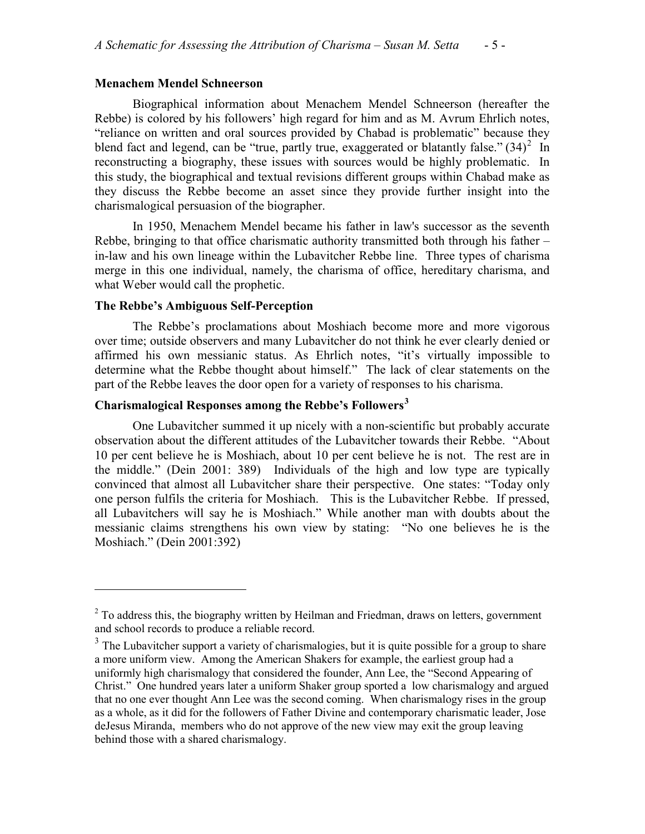#### **Menachem Mendel Schneerson**

Biographical information about Menachem Mendel Schneerson (hereafter the Rebbe) is colored by his followers' high regard for him and as M. Avrum Ehrlich notes, "reliance on written and oral sources provided by Chabad is problematic" because they blend fact and legend, can be "true, partly true, exaggerated or blatantly false."  $(34)^2$  $(34)^2$  In reconstructing a biography, these issues with sources would be highly problematic. In this study, the biographical and textual revisions different groups within Chabad make as they discuss the Rebbe become an asset since they provide further insight into the charismalogical persuasion of the biographer.

In 1950, Menachem Mendel became his father in law's successor as the seventh Rebbe, bringing to that office charismatic authority transmitted both through his father – in-law and his own lineage within the Lubavitcher Rebbe line. Three types of charisma merge in this one individual, namely, the charisma of office, hereditary charisma, and what Weber would call the prophetic.

## **The Rebbe's Ambiguous Self-Perception**

 $\overline{a}$ 

The Rebbe's proclamations about Moshiach become more and more vigorous over time; outside observers and many Lubavitcher do not think he ever clearly denied or affirmed his own messianic status. As Ehrlich notes, "it's virtually impossible to determine what the Rebbe thought about himself." The lack of clear statements on the part of the Rebbe leaves the door open for a variety of responses to his charisma.

# **Charismalogical Responses among the Rebbe's Followers[3](#page-4-0)**

One Lubavitcher summed it up nicely with a non-scientific but probably accurate observation about the different attitudes of the Lubavitcher towards their Rebbe. "About 10 per cent believe he is Moshiach, about 10 per cent believe he is not. The rest are in the middle." (Dein 2001: 389) Individuals of the high and low type are typically convinced that almost all Lubavitcher share their perspective. One states: "Today only one person fulfils the criteria for Moshiach. This is the Lubavitcher Rebbe. If pressed, all Lubavitchers will say he is Moshiach." While another man with doubts about the messianic claims strengthens his own view by stating: "No one believes he is the Moshiach." (Dein 2001:392)

<sup>&</sup>lt;sup>2</sup> To address this, the biography written by Heilman and Friedman, draws on letters, government and school records to produce a reliable record.

<span id="page-4-1"></span><span id="page-4-0"></span><sup>&</sup>lt;sup>3</sup> The Lubavitcher support a variety of charismalogies, but it is quite possible for a group to share a more uniform view. Among the American Shakers for example, the earliest group had a uniformly high charismalogy that considered the founder, Ann Lee, the "Second Appearing of Christ." One hundred years later a uniform Shaker group sported a low charismalogy and argued that no one ever thought Ann Lee was the second coming. When charismalogy rises in the group as a whole, as it did for the followers of Father Divine and contemporary charismatic leader, Jose deJesus Miranda, members who do not approve of the new view may exit the group leaving behind those with a shared charismalogy.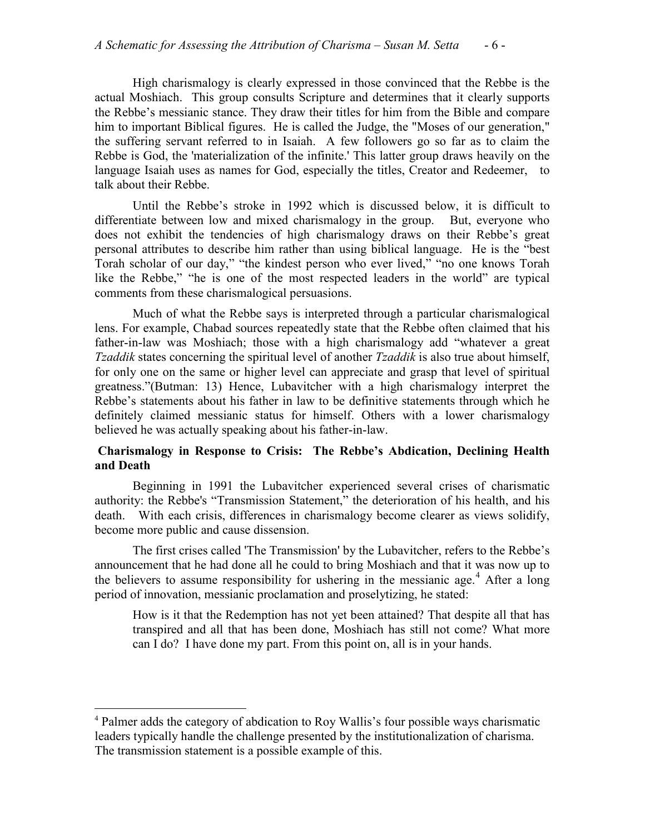High charismalogy is clearly expressed in those convinced that the Rebbe is the actual Moshiach. This group consults Scripture and determines that it clearly supports the Rebbe's messianic stance. They draw their titles for him from the Bible and compare him to important Biblical figures. He is called the Judge, the "Moses of our generation," the suffering servant referred to in Isaiah. A few followers go so far as to claim the Rebbe is God, the 'materialization of the infinite.' This latter group draws heavily on the language Isaiah uses as names for God, especially the titles, Creator and Redeemer, to talk about their Rebbe.

Until the Rebbe's stroke in 1992 which is discussed below, it is difficult to differentiate between low and mixed charismalogy in the group. But, everyone who does not exhibit the tendencies of high charismalogy draws on their Rebbe's great personal attributes to describe him rather than using biblical language. He is the "best Torah scholar of our day," "the kindest person who ever lived," "no one knows Torah like the Rebbe," "he is one of the most respected leaders in the world" are typical comments from these charismalogical persuasions.

Much of what the Rebbe says is interpreted through a particular charismalogical lens. For example, Chabad sources repeatedly state that the Rebbe often claimed that his father-in-law was Moshiach; those with a high charismalogy add "whatever a great *Tzaddik* states concerning the spiritual level of another *Tzaddik* is also true about himself, for only one on the same or higher level can appreciate and grasp that level of spiritual greatness."(Butman: 13) Hence, Lubavitcher with a high charismalogy interpret the Rebbe's statements about his father in law to be definitive statements through which he definitely claimed messianic status for himself. Others with a lower charismalogy believed he was actually speaking about his father-in-law.

# **Charismalogy in Response to Crisis: The Rebbe's Abdication, Declining Health and Death**

Beginning in 1991 the Lubavitcher experienced several crises of charismatic authority: the Rebbe's "Transmission Statement," the deterioration of his health, and his death. With each crisis, differences in charismalogy become clearer as views solidify, become more public and cause dissension.

The first crises called 'The Transmission' by the Lubavitcher, refers to the Rebbe's announcement that he had done all he could to bring Moshiach and that it was now up to the believers to assume responsibility for ushering in the messianic age.<sup>[4](#page-4-1)</sup> After a long period of innovation, messianic proclamation and proselytizing, he stated:

How is it that the Redemption has not yet been attained? That despite all that has transpired and all that has been done, Moshiach has still not come? What more can I do? I have done my part. From this point on, all is in your hands.

<span id="page-5-0"></span> <sup>4</sup> Palmer adds the category of abdication to Roy Wallis's four possible ways charismatic leaders typically handle the challenge presented by the institutionalization of charisma. The transmission statement is a possible example of this.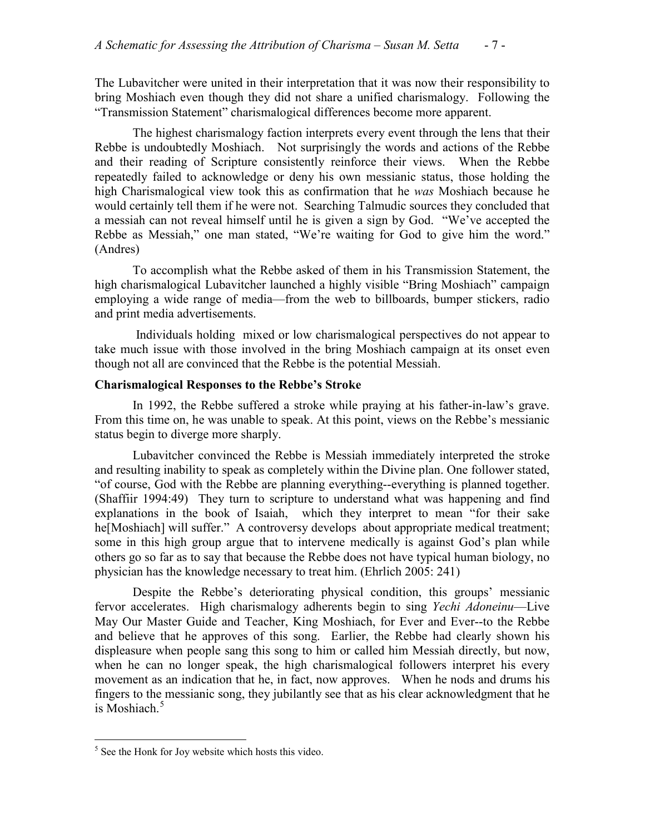The Lubavitcher were united in their interpretation that it was now their responsibility to bring Moshiach even though they did not share a unified charismalogy. Following the "Transmission Statement" charismalogical differences become more apparent.

The highest charismalogy faction interprets every event through the lens that their Rebbe is undoubtedly Moshiach. Not surprisingly the words and actions of the Rebbe and their reading of Scripture consistently reinforce their views. When the Rebbe repeatedly failed to acknowledge or deny his own messianic status, those holding the high Charismalogical view took this as confirmation that he *was* Moshiach because he would certainly tell them if he were not. Searching Talmudic sources they concluded that a messiah can not reveal himself until he is given a sign by God. "We've accepted the Rebbe as Messiah," one man stated, "We're waiting for God to give him the word." (Andres)

To accomplish what the Rebbe asked of them in his Transmission Statement, the high charismalogical Lubavitcher launched a highly visible "Bring Moshiach" campaign employing a wide range of media—from the web to billboards, bumper stickers, radio and print media advertisements.

Individuals holding mixed or low charismalogical perspectives do not appear to take much issue with those involved in the bring Moshiach campaign at its onset even though not all are convinced that the Rebbe is the potential Messiah.

# **Charismalogical Responses to the Rebbe's Stroke**

In 1992, the Rebbe suffered a stroke while praying at his father-in-law's grave. From this time on, he was unable to speak. At this point, views on the Rebbe's messianic status begin to diverge more sharply.

Lubavitcher convinced the Rebbe is Messiah immediately interpreted the stroke and resulting inability to speak as completely within the Divine plan. One follower stated, "of course, God with the Rebbe are planning everything--everything is planned together. (Shaffiir 1994:49) They turn to scripture to understand what was happening and find explanations in the book of Isaiah, which they interpret to mean "for their sake he[Moshiach] will suffer." A controversy develops about appropriate medical treatment; some in this high group argue that to intervene medically is against God's plan while others go so far as to say that because the Rebbe does not have typical human biology, no physician has the knowledge necessary to treat him. (Ehrlich 2005: 241)

<span id="page-6-0"></span>Despite the Rebbe's deteriorating physical condition, this groups' messianic fervor accelerates. High charismalogy adherents begin to sing *Yechi Adoneinu*—Live May Our Master Guide and Teacher, King Moshiach, for Ever and Ever--to the Rebbe and believe that he approves of this song. Earlier, the Rebbe had clearly shown his displeasure when people sang this song to him or called him Messiah directly, but now, when he can no longer speak, the high charismalogical followers interpret his every movement as an indication that he, in fact, now approves. When he nods and drums his fingers to the messianic song, they jubilantly see that as his clear acknowledgment that he is Moshiach. $5$ 

<sup>&</sup>lt;sup>5</sup> See the Honk for Joy website which hosts this video.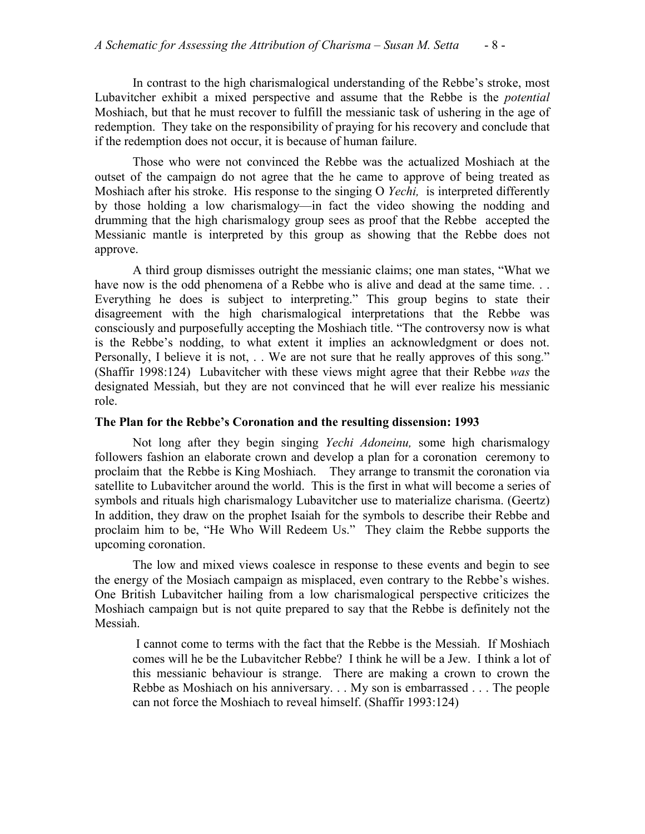In contrast to the high charismalogical understanding of the Rebbe's stroke, most Lubavitcher exhibit a mixed perspective and assume that the Rebbe is the *potential* Moshiach, but that he must recover to fulfill the messianic task of ushering in the age of redemption. They take on the responsibility of praying for his recovery and conclude that if the redemption does not occur, it is because of human failure.

Those who were not convinced the Rebbe was the actualized Moshiach at the outset of the campaign do not agree that the he came to approve of being treated as Moshiach after his stroke. His response to the singing O *Yechi,* is interpreted differently by those holding a low charismalogy—in fact the video showing the nodding and drumming that the high charismalogy group sees as proof that the Rebbe accepted the Messianic mantle is interpreted by this group as showing that the Rebbe does not approve.

A third group dismisses outright the messianic claims; one man states, "What we have now is the odd phenomena of a Rebbe who is alive and dead at the same time. . . Everything he does is subject to interpreting." This group begins to state their disagreement with the high charismalogical interpretations that the Rebbe was consciously and purposefully accepting the Moshiach title. "The controversy now is what is the Rebbe's nodding, to what extent it implies an acknowledgment or does not. Personally, I believe it is not, . . We are not sure that he really approves of this song." (Shaffir 1998:124) Lubavitcher with these views might agree that their Rebbe *was* the designated Messiah, but they are not convinced that he will ever realize his messianic role.

## **The Plan for the Rebbe's Coronation and the resulting dissension: 1993**

Not long after they begin singing *Yechi Adoneinu,* some high charismalogy followers fashion an elaborate crown and develop a plan for a coronation ceremony to proclaim that the Rebbe is King Moshiach. They arrange to transmit the coronation via satellite to Lubavitcher around the world. This is the first in what will become a series of symbols and rituals high charismalogy Lubavitcher use to materialize charisma. (Geertz) In addition, they draw on the prophet Isaiah for the symbols to describe their Rebbe and proclaim him to be, "He Who Will Redeem Us." They claim the Rebbe supports the upcoming coronation.

The low and mixed views coalesce in response to these events and begin to see the energy of the Mosiach campaign as misplaced, even contrary to the Rebbe's wishes. One British Lubavitcher hailing from a low charismalogical perspective criticizes the Moshiach campaign but is not quite prepared to say that the Rebbe is definitely not the Messiah.

I cannot come to terms with the fact that the Rebbe is the Messiah. If Moshiach comes will he be the Lubavitcher Rebbe? I think he will be a Jew. I think a lot of this messianic behaviour is strange. There are making a crown to crown the Rebbe as Moshiach on his anniversary. . . My son is embarrassed . . . The people can not force the Moshiach to reveal himself. (Shaffir 1993:124)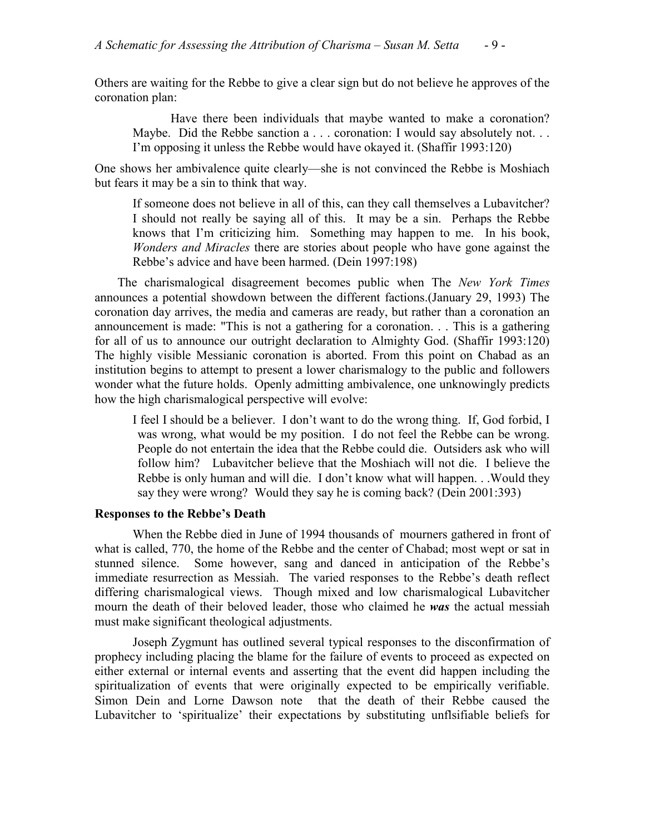Others are waiting for the Rebbe to give a clear sign but do not believe he approves of the coronation plan:

Have there been individuals that maybe wanted to make a coronation? Maybe. Did the Rebbe sanction a . . . coronation: I would say absolutely not. . . I'm opposing it unless the Rebbe would have okayed it. (Shaffir 1993:120)

One shows her ambivalence quite clearly—she is not convinced the Rebbe is Moshiach but fears it may be a sin to think that way.

If someone does not believe in all of this, can they call themselves a Lubavitcher? I should not really be saying all of this. It may be a sin. Perhaps the Rebbe knows that I'm criticizing him. Something may happen to me. In his book, *Wonders and Miracles* there are stories about people who have gone against the Rebbe's advice and have been harmed. (Dein 1997:198)

The charismalogical disagreement becomes public when The *New York Times* announces a potential showdown between the different factions.(January 29, 1993) The coronation day arrives, the media and cameras are ready, but rather than a coronation an announcement is made: "This is not a gathering for a coronation. . . This is a gathering for all of us to announce our outright declaration to Almighty God. (Shaffir 1993:120) The highly visible Messianic coronation is aborted. From this point on Chabad as an institution begins to attempt to present a lower charismalogy to the public and followers wonder what the future holds. Openly admitting ambivalence, one unknowingly predicts how the high charismalogical perspective will evolve:

I feel I should be a believer. I don't want to do the wrong thing. If, God forbid, I was wrong, what would be my position. I do not feel the Rebbe can be wrong. People do not entertain the idea that the Rebbe could die. Outsiders ask who will follow him? Lubavitcher believe that the Moshiach will not die. I believe the Rebbe is only human and will die. I don't know what will happen. . .Would they say they were wrong? Would they say he is coming back? (Dein 2001:393)

## **Responses to the Rebbe's Death**

When the Rebbe died in June of 1994 thousands of mourners gathered in front of what is called, 770, the home of the Rebbe and the center of Chabad; most wept or sat in stunned silence. Some however, sang and danced in anticipation of the Rebbe's immediate resurrection as Messiah. The varied responses to the Rebbe's death reflect differing charismalogical views. Though mixed and low charismalogical Lubavitcher mourn the death of their beloved leader, those who claimed he *was* the actual messiah must make significant theological adjustments.

Joseph Zygmunt has outlined several typical responses to the disconfirmation of prophecy including placing the blame for the failure of events to proceed as expected on either external or internal events and asserting that the event did happen including the spiritualization of events that were originally expected to be empirically verifiable. Simon Dein and Lorne Dawson note that the death of their Rebbe caused the Lubavitcher to 'spiritualize' their expectations by substituting unflsifiable beliefs for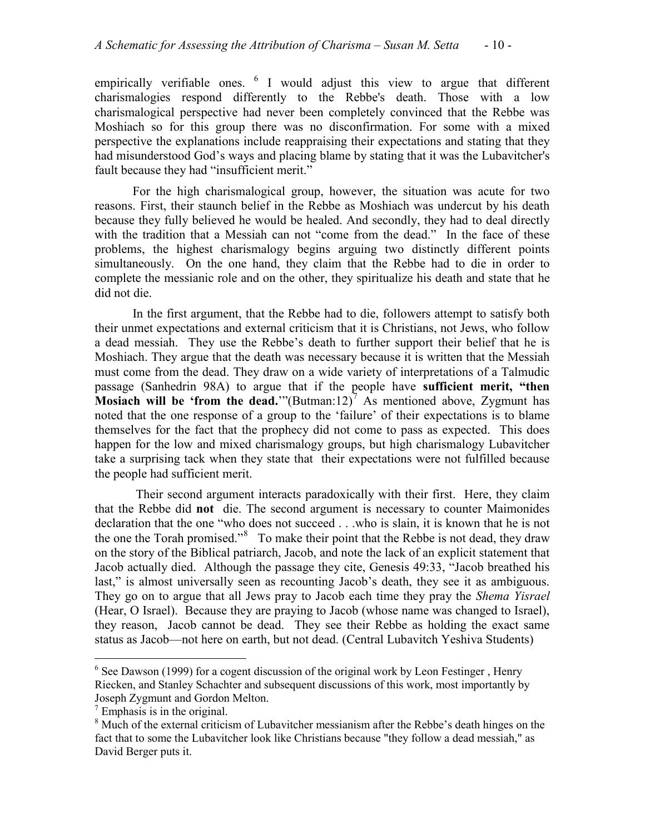empirically verifiable ones.  $6 \text{ I}$  $6 \text{ I}$  would adjust this view to argue that different charismalogies respond differently to the Rebbe's death. Those with a low charismalogical perspective had never been completely convinced that the Rebbe was Moshiach so for this group there was no disconfirmation. For some with a mixed perspective the explanations include reappraising their expectations and stating that they had misunderstood God's ways and placing blame by stating that it was the Lubavitcher's fault because they had "insufficient merit."

For the high charismalogical group, however, the situation was acute for two reasons. First, their staunch belief in the Rebbe as Moshiach was undercut by his death because they fully believed he would be healed. And secondly, they had to deal directly with the tradition that a Messiah can not "come from the dead." In the face of these problems, the highest charismalogy begins arguing two distinctly different points simultaneously. On the one hand, they claim that the Rebbe had to die in order to complete the messianic role and on the other, they spiritualize his death and state that he did not die.

In the first argument, that the Rebbe had to die, followers attempt to satisfy both their unmet expectations and external criticism that it is Christians, not Jews, who follow a dead messiah. They use the Rebbe's death to further support their belief that he is Moshiach. They argue that the death was necessary because it is written that the Messiah must come from the dead. They draw on a wide variety of interpretations of a Talmudic passage (Sanhedrin 98A) to argue that if the people have **sufficient merit, "then Mosiach will be 'from the dead.**'"(Butman:12) $\overline{7}$  $\overline{7}$  $\overline{7}$  As mentioned above, Zygmunt has noted that the one response of a group to the 'failure' of their expectations is to blame themselves for the fact that the prophecy did not come to pass as expected. This does happen for the low and mixed charismalogy groups, but high charismalogy Lubavitcher take a surprising tack when they state that their expectations were not fulfilled because the people had sufficient merit.

Their second argument interacts paradoxically with their first. Here, they claim that the Rebbe did **not** die. The second argument is necessary to counter Maimonides declaration that the one "who does not succeed . . .who is slain, it is known that he is not the one the Torah promised." $8\degree$  $8\degree$  To make their point that the Rebbe is not dead, they draw on the story of the Biblical patriarch, Jacob, and note the lack of an explicit statement that Jacob actually died. Although the passage they cite, Genesis 49:33, "Jacob breathed his last," is almost universally seen as recounting Jacob's death, they see it as ambiguous. They go on to argue that all Jews pray to Jacob each time they pray the *Shema Yisrael*  (Hear, O Israel). Because they are praying to Jacob (whose name was changed to Israel), they reason, Jacob cannot be dead. They see their Rebbe as holding the exact same status as Jacob—not here on earth, but not dead. (Central Lubavitch Yeshiva Students)

 $6$  See Dawson (1999) for a cogent discussion of the original work by Leon Festinger, Henry Riecken, and Stanley Schachter and subsequent discussions of this work, most importantly by Joseph Zygmunt and Gordon Melton.

<span id="page-9-0"></span> $7$  Emphasis is in the original.

<span id="page-9-1"></span><sup>&</sup>lt;sup>8</sup> Much of the external criticism of Lubavitcher messianism after the Rebbe's death hinges on the fact that to some the Lubavitcher look like Christians because "they follow a dead messiah," as David Berger puts it.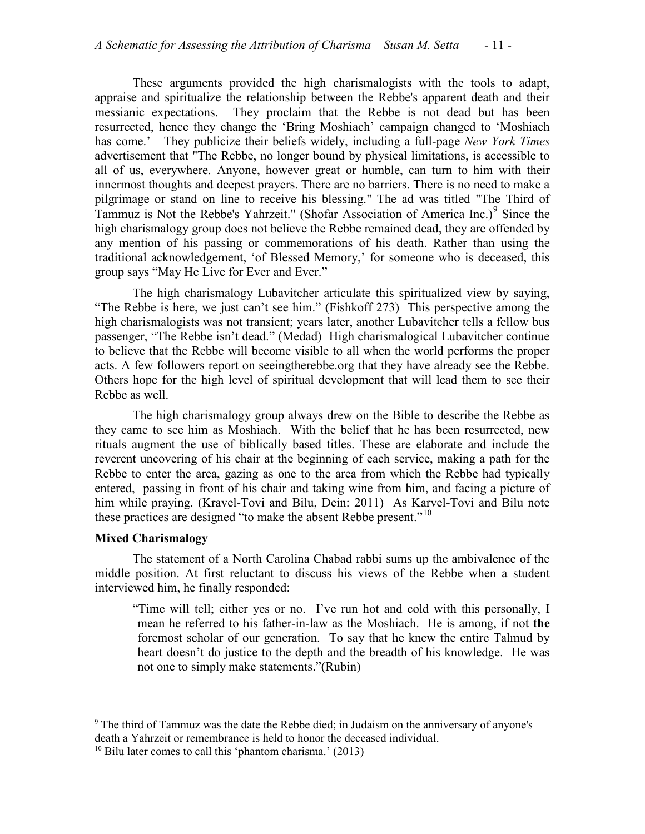These arguments provided the high charismalogists with the tools to adapt, appraise and spiritualize the relationship between the Rebbe's apparent death and their messianic expectations. They proclaim that the Rebbe is not dead but has been resurrected, hence they change the 'Bring Moshiach' campaign changed to 'Moshiach has come.' They publicize their beliefs widely, including a full-page *New York Times* advertisement that "The Rebbe, no longer bound by physical limitations, is accessible to all of us, everywhere. Anyone, however great or humble, can turn to him with their innermost thoughts and deepest prayers. There are no barriers. There is no need to make a pilgrimage or stand on line to receive his blessing." The ad was titled "The Third of Tammuz is Not the Rebbe's Yahrzeit." (Shofar Association of America Inc.) $\degree$  Since the high charismalogy group does not believe the Rebbe remained dead, they are offended by any mention of his passing or commemorations of his death. Rather than using the traditional acknowledgement, 'of Blessed Memory,' for someone who is deceased, this group says "May He Live for Ever and Ever."

The high charismalogy Lubavitcher articulate this spiritualized view by saying, "The Rebbe is here, we just can't see him." (Fishkoff 273) This perspective among the high charismalogists was not transient; years later, another Lubavitcher tells a fellow bus passenger, "The Rebbe isn't dead." (Medad) High charismalogical Lubavitcher continue to believe that the Rebbe will become visible to all when the world performs the proper acts. A few followers report on seeingtherebbe.org that they have already see the Rebbe. Others hope for the high level of spiritual development that will lead them to see their Rebbe as well.

The high charismalogy group always drew on the Bible to describe the Rebbe as they came to see him as Moshiach. With the belief that he has been resurrected, new rituals augment the use of biblically based titles. These are elaborate and include the reverent uncovering of his chair at the beginning of each service, making a path for the Rebbe to enter the area, gazing as one to the area from which the Rebbe had typically entered, passing in front of his chair and taking wine from him, and facing a picture of him while praying. (Kravel-Tovi and Bilu, Dein: 2011) As Karvel-Tovi and Bilu note these practices are designed "to make the absent Rebbe present."<sup>[10](#page-10-0)</sup>

## **Mixed Charismalogy**

The statement of a North Carolina Chabad rabbi sums up the ambivalence of the middle position. At first reluctant to discuss his views of the Rebbe when a student interviewed him, he finally responded:

"Time will tell; either yes or no. I've run hot and cold with this personally, I mean he referred to his father-in-law as the Moshiach. He is among, if not **the**  foremost scholar of our generation. To say that he knew the entire Talmud by heart doesn't do justice to the depth and the breadth of his knowledge. He was not one to simply make statements."(Rubin)

<span id="page-10-1"></span> <sup>9</sup> The third of Tammuz was the date the Rebbe died; in Judaism on the anniversary of anyone's death a Yahrzeit or remembrance is held to honor the deceased individual.

<span id="page-10-0"></span> $10$  Bilu later comes to call this 'phantom charisma.' (2013)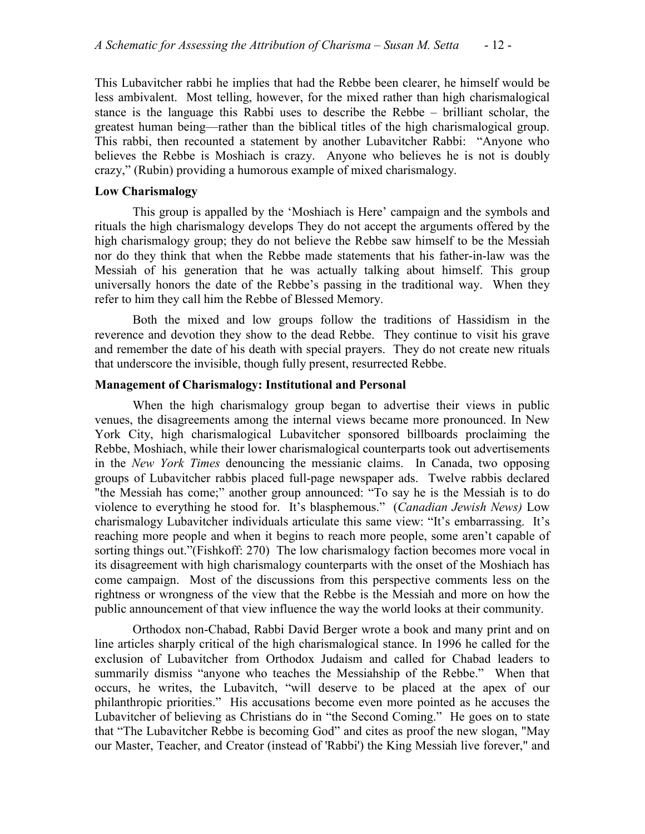This Lubavitcher rabbi he implies that had the Rebbe been clearer, he himself would be less ambivalent. Most telling, however, for the mixed rather than high charismalogical stance is the language this Rabbi uses to describe the Rebbe – brilliant scholar, the greatest human being—rather than the biblical titles of the high charismalogical group. This rabbi, then recounted a statement by another Lubavitcher Rabbi: "Anyone who believes the Rebbe is Moshiach is crazy. Anyone who believes he is not is doubly crazy," (Rubin) providing a humorous example of mixed charismalogy.

# **Low Charismalogy**

This group is appalled by the 'Moshiach is Here' campaign and the symbols and rituals the high charismalogy develops They do not accept the arguments offered by the high charismalogy group; they do not believe the Rebbe saw himself to be the Messiah nor do they think that when the Rebbe made statements that his father-in-law was the Messiah of his generation that he was actually talking about himself. This group universally honors the date of the Rebbe's passing in the traditional way. When they refer to him they call him the Rebbe of Blessed Memory.

Both the mixed and low groups follow the traditions of Hassidism in the reverence and devotion they show to the dead Rebbe. They continue to visit his grave and remember the date of his death with special prayers. They do not create new rituals that underscore the invisible, though fully present, resurrected Rebbe.

## **Management of Charismalogy: Institutional and Personal**

When the high charismalogy group began to advertise their views in public venues, the disagreements among the internal views became more pronounced. In New York City, high charismalogical Lubavitcher sponsored billboards proclaiming the Rebbe, Moshiach, while their lower charismalogical counterparts took out advertisements in the *New York Times* denouncing the messianic claims. In Canada, two opposing groups of Lubavitcher rabbis placed full-page newspaper ads. Twelve rabbis declared "the Messiah has come;" another group announced: "To say he is the Messiah is to do violence to everything he stood for. It's blasphemous." (*Canadian Jewish News)* Low charismalogy Lubavitcher individuals articulate this same view: "It's embarrassing. It's reaching more people and when it begins to reach more people, some aren't capable of sorting things out."(Fishkoff: 270) The low charismalogy faction becomes more vocal in its disagreement with high charismalogy counterparts with the onset of the Moshiach has come campaign. Most of the discussions from this perspective comments less on the rightness or wrongness of the view that the Rebbe is the Messiah and more on how the public announcement of that view influence the way the world looks at their community.

Orthodox non-Chabad, Rabbi David Berger wrote a book and many print and on line articles sharply critical of the high charismalogical stance. In 1996 he called for the exclusion of Lubavitcher from Orthodox Judaism and called for Chabad leaders to summarily dismiss "anyone who teaches the Messiahship of the Rebbe." When that occurs, he writes, the Lubavitch, "will deserve to be placed at the apex of our philanthropic priorities." His accusations become even more pointed as he accuses the Lubavitcher of believing as Christians do in "the Second Coming." He goes on to state that "The Lubavitcher Rebbe is becoming God" and cites as proof the new slogan, "May our Master, Teacher, and Creator (instead of 'Rabbi') the King Messiah live forever," and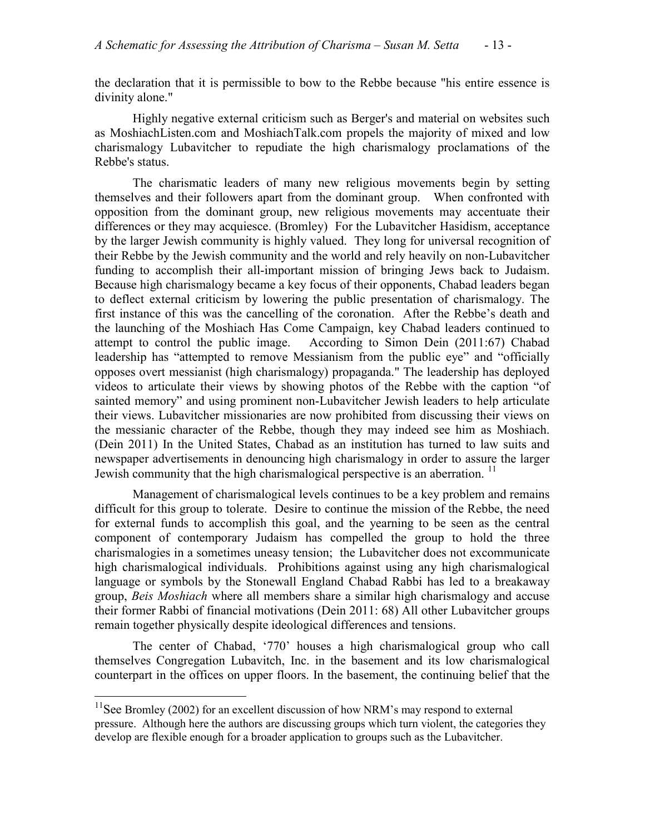the declaration that it is permissible to bow to the Rebbe because "his entire essence is divinity alone."

Highly negative external criticism such as Berger's and material on websites such as MoshiachListen.com and MoshiachTalk.com propels the majority of mixed and low charismalogy Lubavitcher to repudiate the high charismalogy proclamations of the Rebbe's status.

The charismatic leaders of many new religious movements begin by setting themselves and their followers apart from the dominant group. When confronted with opposition from the dominant group, new religious movements may accentuate their differences or they may acquiesce. (Bromley) For the Lubavitcher Hasidism, acceptance by the larger Jewish community is highly valued. They long for universal recognition of their Rebbe by the Jewish community and the world and rely heavily on non-Lubavitcher funding to accomplish their all-important mission of bringing Jews back to Judaism. Because high charismalogy became a key focus of their opponents, Chabad leaders began to deflect external criticism by lowering the public presentation of charismalogy. The first instance of this was the cancelling of the coronation. After the Rebbe's death and the launching of the Moshiach Has Come Campaign, key Chabad leaders continued to attempt to control the public image. According to Simon Dein (2011:67) Chabad leadership has "attempted to remove Messianism from the public eye" and "officially opposes overt messianist (high charismalogy) propaganda." The leadership has deployed videos to articulate their views by showing photos of the Rebbe with the caption "of sainted memory" and using prominent non-Lubavitcher Jewish leaders to help articulate their views. Lubavitcher missionaries are now prohibited from discussing their views on the messianic character of the Rebbe, though they may indeed see him as Moshiach. (Dein 2011) In the United States, Chabad as an institution has turned to law suits and newspaper advertisements in denouncing high charismalogy in order to assure the larger Jewish community that the high charismalogical perspective is an aberration.  $\frac{11}{11}$  $\frac{11}{11}$  $\frac{11}{11}$ 

Management of charismalogical levels continues to be a key problem and remains difficult for this group to tolerate. Desire to continue the mission of the Rebbe, the need for external funds to accomplish this goal, and the yearning to be seen as the central component of contemporary Judaism has compelled the group to hold the three charismalogies in a sometimes uneasy tension; the Lubavitcher does not excommunicate high charismalogical individuals. Prohibitions against using any high charismalogical language or symbols by the Stonewall England Chabad Rabbi has led to a breakaway group, *Beis Moshiach* where all members share a similar high charismalogy and accuse their former Rabbi of financial motivations (Dein 2011: 68) All other Lubavitcher groups remain together physically despite ideological differences and tensions.

The center of Chabad, '770' houses a high charismalogical group who call themselves Congregation Lubavitch, Inc. in the basement and its low charismalogical counterpart in the offices on upper floors. In the basement, the continuing belief that the

 $11$ See Bromley (2002) for an excellent discussion of how NRM's may respond to external pressure. Although here the authors are discussing groups which turn violent, the categories they develop are flexible enough for a broader application to groups such as the Lubavitcher.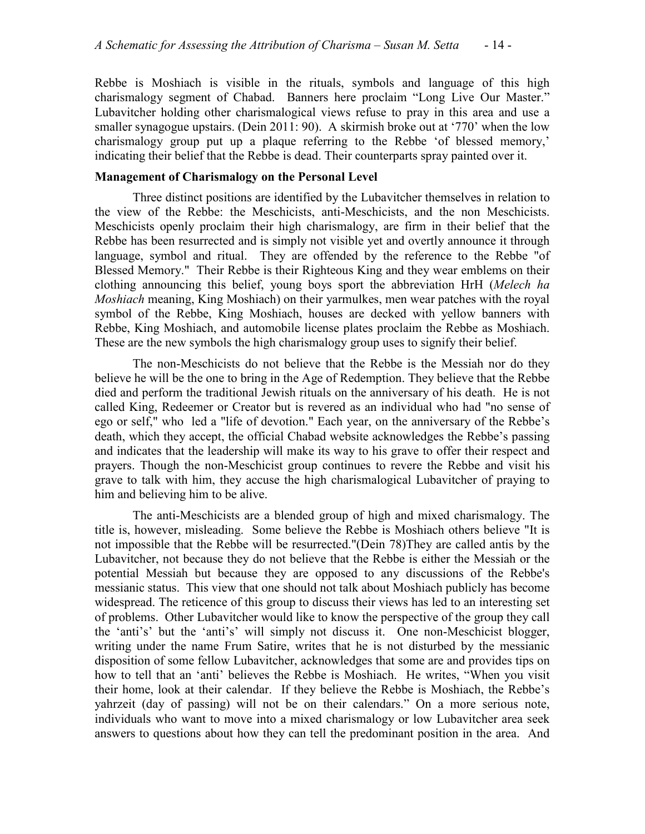Rebbe is Moshiach is visible in the rituals, symbols and language of this high charismalogy segment of Chabad. Banners here proclaim "Long Live Our Master." Lubavitcher holding other charismalogical views refuse to pray in this area and use a smaller synagogue upstairs. (Dein 2011: 90). A skirmish broke out at '770' when the low charismalogy group put up a plaque referring to the Rebbe 'of blessed memory,' indicating their belief that the Rebbe is dead. Their counterparts spray painted over it.

#### **Management of Charismalogy on the Personal Level**

Three distinct positions are identified by the Lubavitcher themselves in relation to the view of the Rebbe: the Meschicists, anti-Meschicists, and the non Meschicists. Meschicists openly proclaim their high charismalogy, are firm in their belief that the Rebbe has been resurrected and is simply not visible yet and overtly announce it through language, symbol and ritual. They are offended by the reference to the Rebbe "of Blessed Memory." Their Rebbe is their Righteous King and they wear emblems on their clothing announcing this belief, young boys sport the abbreviation HrH (*Melech ha Moshiach* meaning, King Moshiach) on their yarmulkes, men wear patches with the royal symbol of the Rebbe, King Moshiach, houses are decked with yellow banners with Rebbe, King Moshiach, and automobile license plates proclaim the Rebbe as Moshiach. These are the new symbols the high charismalogy group uses to signify their belief.

The non-Meschicists do not believe that the Rebbe is the Messiah nor do they believe he will be the one to bring in the Age of Redemption. They believe that the Rebbe died and perform the traditional Jewish rituals on the anniversary of his death. He is not called King, Redeemer or Creator but is revered as an individual who had "no sense of ego or self," who led a "life of devotion." Each year, on the anniversary of the Rebbe's death, which they accept, the official Chabad website acknowledges the Rebbe's passing and indicates that the leadership will make its way to his grave to offer their respect and prayers. Though the non-Meschicist group continues to revere the Rebbe and visit his grave to talk with him, they accuse the high charismalogical Lubavitcher of praying to him and believing him to be alive.

The anti-Meschicists are a blended group of high and mixed charismalogy. The title is, however, misleading. Some believe the Rebbe is Moshiach others believe "It is not impossible that the Rebbe will be resurrected."(Dein 78)They are called antis by the Lubavitcher, not because they do not believe that the Rebbe is either the Messiah or the potential Messiah but because they are opposed to any discussions of the Rebbe's messianic status. This view that one should not talk about Moshiach publicly has become widespread. The reticence of this group to discuss their views has led to an interesting set of problems. Other Lubavitcher would like to know the perspective of the group they call the 'anti's' but the 'anti's' will simply not discuss it. One non-Meschicist blogger, writing under the name Frum Satire, writes that he is not disturbed by the messianic disposition of some fellow Lubavitcher, acknowledges that some are and provides tips on how to tell that an 'anti' believes the Rebbe is Moshiach. He writes, "When you visit their home, look at their calendar. If they believe the Rebbe is Moshiach, the Rebbe's yahrzeit (day of passing) will not be on their calendars." On a more serious note, individuals who want to move into a mixed charismalogy or low Lubavitcher area seek answers to questions about how they can tell the predominant position in the area. And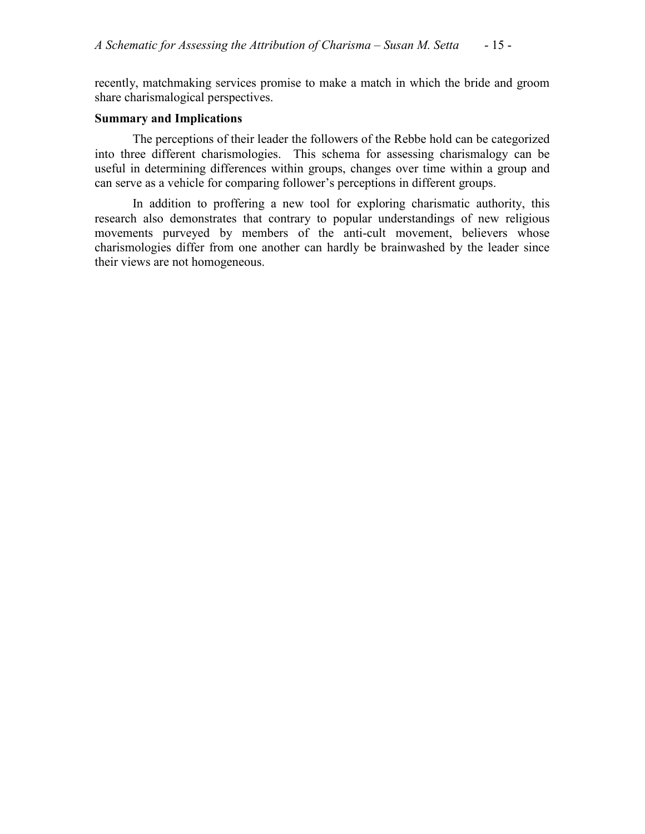recently, matchmaking services promise to make a match in which the bride and groom share charismalogical perspectives.

#### **Summary and Implications**

The perceptions of their leader the followers of the Rebbe hold can be categorized into three different charismologies. This schema for assessing charismalogy can be useful in determining differences within groups, changes over time within a group and can serve as a vehicle for comparing follower's perceptions in different groups.

In addition to proffering a new tool for exploring charismatic authority, this research also demonstrates that contrary to popular understandings of new religious movements purveyed by members of the anti-cult movement, believers whose charismologies differ from one another can hardly be brainwashed by the leader since their views are not homogeneous.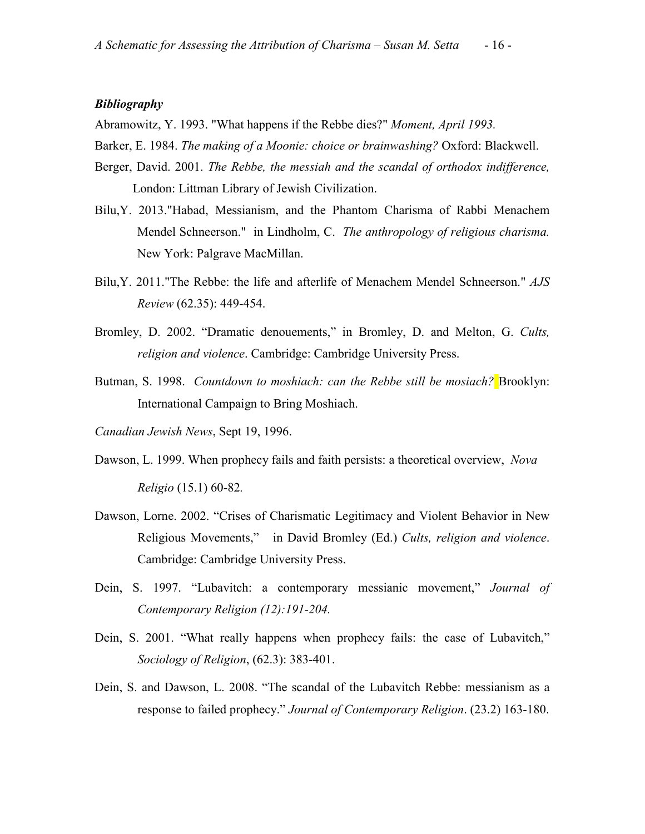## *Bibliography*

Abramowitz, Y. 1993. "What happens if the Rebbe dies?" *Moment, April 1993.*

Barker, E. 1984. *The making of a Moonie: choice or brainwashing?* Oxford: Blackwell.

- Berger, David. 2001. *The Rebbe, the messiah and the scandal of orthodox indifference,*  London: Littman Library of Jewish Civilization.
- Bilu,Y. 2013."Habad, Messianism, and the Phantom Charisma of Rabbi Menachem Mendel Schneerson." in Lindholm, C. *The anthropology of religious charisma.*  New York: Palgrave MacMillan.
- Bilu,Y. 2011."The Rebbe: the life and afterlife of Menachem Mendel Schneerson." *[AJS](javascript:__doLinkPostBack() [Review](javascript:__doLinkPostBack()* (62.35): 449-454.
- Bromley, D. 2002. "Dramatic denouements," in Bromley, D. and Melton, G. *Cults, religion and violence*. Cambridge: Cambridge University Press.
- Butman, S. 1998. *Countdown to moshiach: can the Rebbe still be mosiach?* Brooklyn: International Campaign to Bring Moshiach.
- *Canadian Jewish News*, Sept 19, 1996.
- Dawson, L. 1999. When prophecy fails and faith persists: a theoretical overview, *Nova Religio* (15.1) 60-82*.*
- Dawson, Lorne. 2002. "Crises of Charismatic Legitimacy and Violent Behavior in New Religious Movements," in David Bromley (Ed.) *Cults, religion and violence*. Cambridge: Cambridge University Press.
- Dein, S. 1997. "Lubavitch: a contemporary messianic movement," *Journal of Contemporary Religion (12):191-204.*
- Dein, S. 2001. ["What really happens when prophecy fails: the case of Lubavitch,](http://0-web3.epnet.com.ilsprod.lib.neu.edu/citation.asp?tb=1&_ug=fvd+0+sid+6C41985E%2D53F5%2D4656%2DB924%2DC2D1944C6712%40sessionmgr3+fic+4+dbs+reh+fdp+rl+cp+1+fim+0+3069&_us=hd+False+hs+False+or+Date+fh+False+ss+SO+sm+ES+sl+%2D1+ri+KAAACBXA00132261+dstb+ES+mh+1+frn+1+E1E7&_uso=hd+False+tg%5B2+%2D+tg%5B1+%2DTI+tg%5B0+%2DAU+st%5B2+%2D+st%5B1+%2Deconomy+st%5B0+%2Dweber+db%5B0+%2Dreh+op%5B2+%2DAnd+op%5B1+%2DAnd+op%5B0+%2D+A5AE&bk=N&anfn=1&anrn=2&sp=&fn=&)" *Sociology of Religion*, (62.3): 383-401.
- Dein, S. and Dawson, L. 2008. "The scandal of the Lubavitch Rebbe: messianism as a response to failed prophecy." *Journal of Contemporary Religion*. (23.2) 163-180.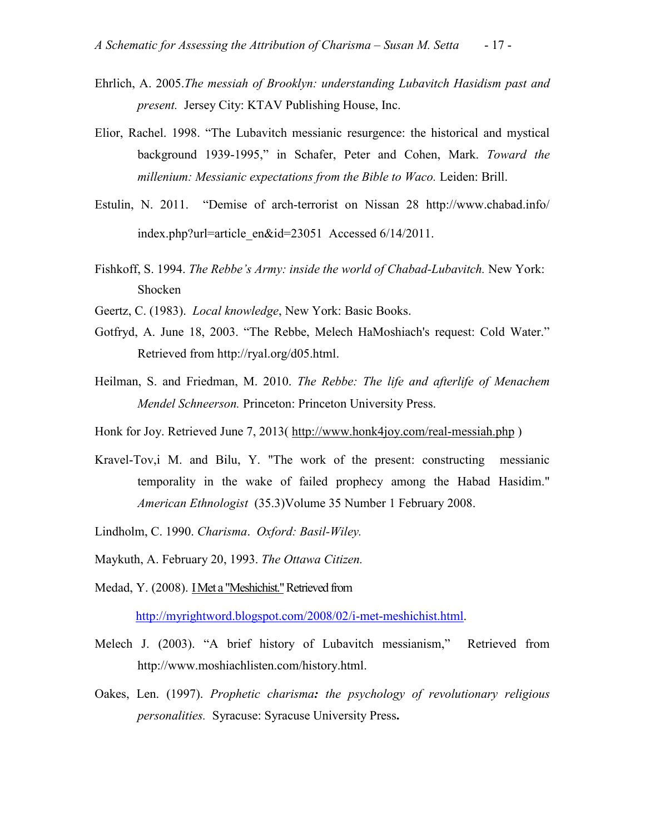- Ehrlich, A. 2005.*The messiah of Brooklyn: understanding Lubavitch Hasidism past and present.* Jersey City: KTAV Publishing House, Inc.
- Elior, Rachel. 1998. "The Lubavitch messianic resurgence: the historical and mystical background 1939-1995," in Schafer, Peter and Cohen, Mark. *Toward the millenium: Messianic expectations from the Bible to Waco.* Leiden: Brill.
- Estulin, N. 2011. "Demise of arch-terrorist on Nissan 28 http://www.chabad.info/ index.php?url=article\_en&id=23051 Accessed 6/14/2011.
- Fishkoff, S. 1994. *The Rebbe's Army: inside the world of Chabad-Lubavitch.* New York: Shocken
- Geertz, C. (1983). *Local knowledge*, New York: Basic Books.
- Gotfryd, A. June 18, 2003. "The Rebbe, Melech HaMoshiach's request: Cold Water." Retrieved from http://ryal.org/d05.html.
- Heilman, S. and Friedman, M. 2010. *The Rebbe: The life and afterlife of Menachem Mendel Schneerson.* Princeton: Princeton University Press.
- Honk for Joy. Retrieved June 7, 2013(<http://www.honk4joy.com/real-messiah.php>)
- Kravel-Tov,i M. and Bilu, Y. "The work of the present: constructing messianic temporality in the wake of failed prophecy among the Habad Hasidim." *American Ethnologist* (35.3)Volume 35 Number 1 February 2008.
- Lindholm, C. 1990. *Charisma*. *Oxford: Basil-Wiley.*
- Maykuth, A. February 20, 1993. *The Ottawa Citizen.*
- Medad, Y. (2008). I Met a "Meshichist." Retrieved from

[http://myrightword.blogspot.com/2008/02/i-met-meshichist.html.](http://myrightword.blogspot.com/2008/02/i-met-meshichist.html)

- Melech J. (2003). "A brief history of Lubavitch messianism," Retrieved from http://www.moshiachlisten.com/history.html.
- <span id="page-16-0"></span>Oakes, Len. (1997). *Prophetic charisma: the psychology of revolutionary religious personalities.* Syracuse: Syracuse University Press**.**